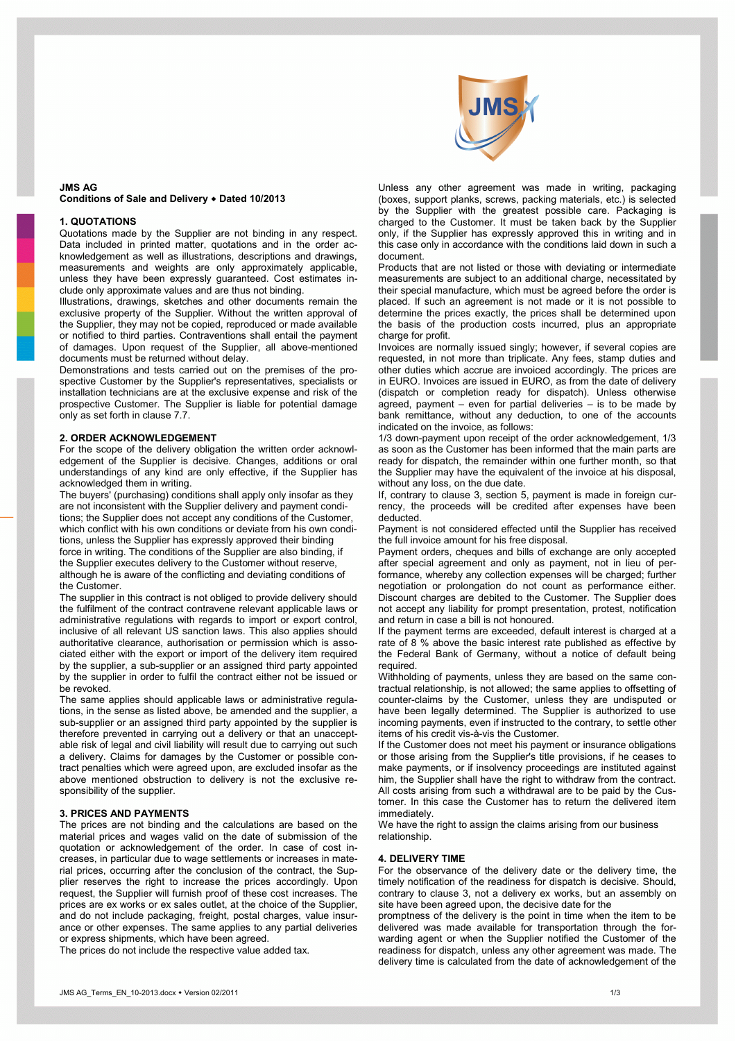

# **JMS AG Conditions of Sale and Delivery Dated 10/2013**

### **1. QUOTATIONS**

Quotations made by the Supplier are not binding in any respect. Data included in printed matter, quotations and in the order acknowledgement as well as illustrations, descriptions and drawings, measurements and weights are only approximately applicable, unless they have been expressly guaranteed. Cost estimates include only approximate values and are thus not binding.

Illustrations, drawings, sketches and other documents remain the exclusive property of the Supplier. Without the written approval of the Supplier, they may not be copied, reproduced or made available or notified to third parties. Contraventions shall entail the payment of damages. Upon request of the Supplier, all above-mentioned documents must be returned without delay.

Demonstrations and tests carried out on the premises of the prospective Customer by the Supplier's representatives, specialists or installation technicians are at the exclusive expense and risk of the prospective Customer. The Supplier is liable for potential damage only as set forth in clause 7.7.

# **2. ORDER ACKNOWLEDGEMENT**

For the scope of the delivery obligation the written order acknowledgement of the Supplier is decisive. Changes, additions or oral understandings of any kind are only effective, if the Supplier has acknowledged them in writing.

The buyers' (purchasing) conditions shall apply only insofar as they are not inconsistent with the Supplier delivery and payment conditions; the Supplier does not accept any conditions of the Customer, which conflict with his own conditions or deviate from his own conditions, unless the Supplier has expressly approved their binding force in writing. The conditions of the Supplier are also binding, if the Supplier executes delivery to the Customer without reserve, although he is aware of the conflicting and deviating conditions of the Customer.

The supplier in this contract is not obliged to provide delivery should the fulfilment of the contract contravene relevant applicable laws or administrative regulations with regards to import or export control, inclusive of all relevant US sanction laws. This also applies should authoritative clearance, authorisation or permission which is associated either with the export or import of the delivery item required by the supplier, a sub-supplier or an assigned third party appointed by the supplier in order to fulfil the contract either not be issued or be revoked.

The same applies should applicable laws or administrative regulations, in the sense as listed above, be amended and the supplier, a sub-supplier or an assigned third party appointed by the supplier is therefore prevented in carrying out a delivery or that an unacceptable risk of legal and civil liability will result due to carrying out such a delivery. Claims for damages by the Customer or possible contract penalties which were agreed upon, are excluded insofar as the above mentioned obstruction to delivery is not the exclusive responsibility of the supplier.

#### **3. PRICES AND PAYMENTS**

The prices are not binding and the calculations are based on the material prices and wages valid on the date of submission of the quotation or acknowledgement of the order. In case of cost increases, in particular due to wage settlements or increases in material prices, occurring after the conclusion of the contract, the Supplier reserves the right to increase the prices accordingly. Upon request, the Supplier will furnish proof of these cost increases. The prices are ex works or ex sales outlet, at the choice of the Supplier, and do not include packaging, freight, postal charges, value insurance or other expenses. The same applies to any partial deliveries or express shipments, which have been agreed.

The prices do not include the respective value added tax.

Unless any other agreement was made in writing, packaging (boxes, support planks, screws, packing materials, etc.) is selected by the Supplier with the greatest possible care. Packaging is charged to the Customer. It must be taken back by the Supplier only, if the Supplier has expressly approved this in writing and in this case only in accordance with the conditions laid down in such a document.

Products that are not listed or those with deviating or intermediate measurements are subject to an additional charge, necessitated by their special manufacture, which must be agreed before the order is placed. If such an agreement is not made or it is not possible to determine the prices exactly, the prices shall be determined upon the basis of the production costs incurred, plus an appropriate charge for profit.

Invoices are normally issued singly; however, if several copies are requested, in not more than triplicate. Any fees, stamp duties and other duties which accrue are invoiced accordingly. The prices are in EURO. Invoices are issued in EURO, as from the date of delivery (dispatch or completion ready for dispatch). Unless otherwise agreed, payment – even for partial deliveries – is to be made by bank remittance, without any deduction, to one of the accounts indicated on the invoice, as follows:

1/3 down-payment upon receipt of the order acknowledgement, 1/3 as soon as the Customer has been informed that the main parts are ready for dispatch, the remainder within one further month, so that the Supplier may have the equivalent of the invoice at his disposal, without any loss, on the due date.

If, contrary to clause 3, section 5, payment is made in foreign currency, the proceeds will be credited after expenses have been deducted.

Payment is not considered effected until the Supplier has received the full invoice amount for his free disposal.

Payment orders, cheques and bills of exchange are only accepted after special agreement and only as payment, not in lieu of performance, whereby any collection expenses will be charged; further negotiation or prolongation do not count as performance either. Discount charges are debited to the Customer. The Supplier does not accept any liability for prompt presentation, protest, notification and return in case a bill is not honoured.

If the payment terms are exceeded, default interest is charged at a rate of 8 % above the basic interest rate published as effective by the Federal Bank of Germany, without a notice of default being required.

Withholding of payments, unless they are based on the same contractual relationship, is not allowed; the same applies to offsetting of counter-claims by the Customer, unless they are undisputed or have been legally determined. The Supplier is authorized to use incoming payments, even if instructed to the contrary, to settle other items of his credit vis-à-vis the Customer.

If the Customer does not meet his payment or insurance obligations or those arising from the Supplier's title provisions, if he ceases to make payments, or if insolvency proceedings are instituted against him, the Supplier shall have the right to withdraw from the contract. All costs arising from such a withdrawal are to be paid by the Customer. In this case the Customer has to return the delivered item immediately.

We have the right to assign the claims arising from our business relationship.

#### **4. DELIVERY TIME**

For the observance of the delivery date or the delivery time, the timely notification of the readiness for dispatch is decisive. Should, contrary to clause 3, not a delivery ex works, but an assembly on site have been agreed upon, the decisive date for the

promptness of the delivery is the point in time when the item to be delivered was made available for transportation through the forwarding agent or when the Supplier notified the Customer of the readiness for dispatch, unless any other agreement was made. The delivery time is calculated from the date of acknowledgement of the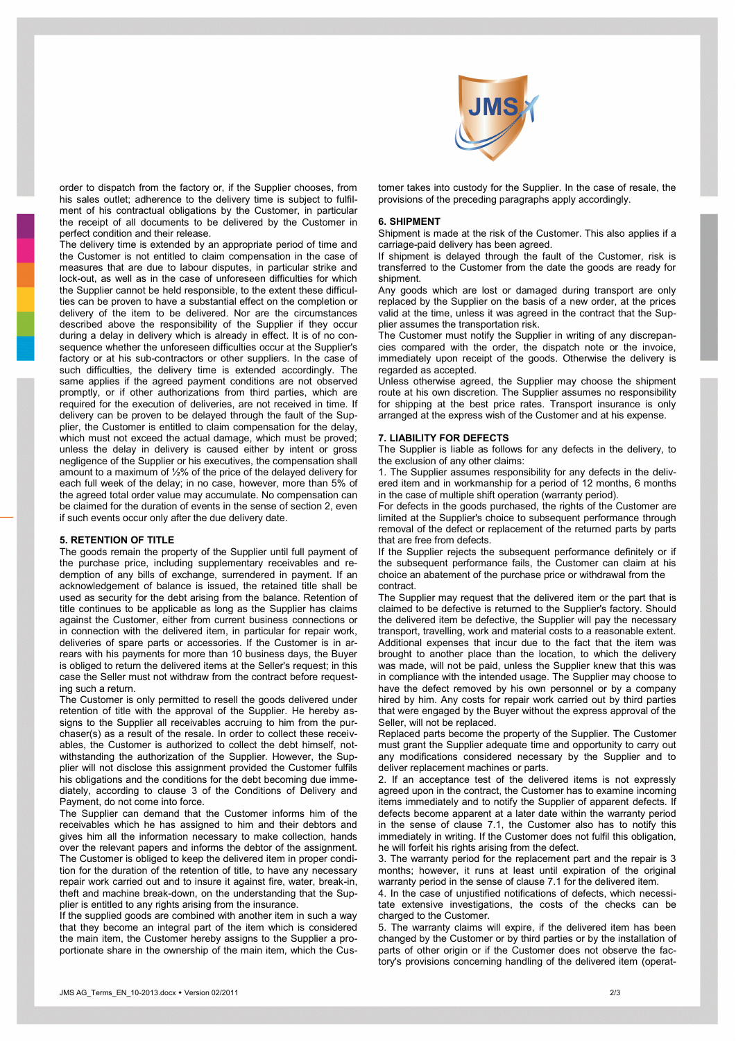

order to dispatch from the factory or, if the Supplier chooses, from his sales outlet; adherence to the delivery time is subject to fulfilment of his contractual obligations by the Customer, in particular the receipt of all documents to be delivered by the Customer in perfect condition and their release.

The delivery time is extended by an appropriate period of time and the Customer is not entitled to claim compensation in the case of measures that are due to labour disputes, in particular strike and lock-out, as well as in the case of unforeseen difficulties for which the Supplier cannot be held responsible, to the extent these difficulties can be proven to have a substantial effect on the completion or delivery of the item to be delivered. Nor are the circumstances described above the responsibility of the Supplier if they occur during a delay in delivery which is already in effect. It is of no consequence whether the unforeseen difficulties occur at the Supplier's factory or at his sub-contractors or other suppliers. In the case of such difficulties, the delivery time is extended accordingly. The same applies if the agreed payment conditions are not observed promptly, or if other authorizations from third parties, which are required for the execution of deliveries, are not received in time. If delivery can be proven to be delayed through the fault of the Supplier, the Customer is entitled to claim compensation for the delay, which must not exceed the actual damage, which must be proved; unless the delay in delivery is caused either by intent or gross negligence of the Supplier or his executives, the compensation shall amount to a maximum of ½% of the price of the delayed delivery for each full week of the delay; in no case, however, more than 5% of the agreed total order value may accumulate. No compensation can be claimed for the duration of events in the sense of section 2, even if such events occur only after the due delivery date.

## **5. RETENTION OF TITLE**

The goods remain the property of the Supplier until full payment of the purchase price, including supplementary receivables and redemption of any bills of exchange, surrendered in payment. If an acknowledgement of balance is issued, the retained title shall be used as security for the debt arising from the balance. Retention of title continues to be applicable as long as the Supplier has claims against the Customer, either from current business connections or in connection with the delivered item, in particular for repair work, deliveries of spare parts or accessories. If the Customer is in arrears with his payments for more than 10 business days, the Buyer is obliged to return the delivered items at the Seller's request; in this case the Seller must not withdraw from the contract before requesting such a return.

The Customer is only permitted to resell the goods delivered under retention of title with the approval of the Supplier. He hereby assigns to the Supplier all receivables accruing to him from the purchaser(s) as a result of the resale. In order to collect these receivables, the Customer is authorized to collect the debt himself, notwithstanding the authorization of the Supplier. However, the Supplier will not disclose this assignment provided the Customer fulfils his obligations and the conditions for the debt becoming due immediately, according to clause 3 of the Conditions of Delivery and Payment, do not come into force.

The Supplier can demand that the Customer informs him of the receivables which he has assigned to him and their debtors and gives him all the information necessary to make collection, hands over the relevant papers and informs the debtor of the assignment. The Customer is obliged to keep the delivered item in proper condition for the duration of the retention of title, to have any necessary repair work carried out and to insure it against fire, water, break-in, theft and machine break-down, on the understanding that the Supplier is entitled to any rights arising from the insurance.

If the supplied goods are combined with another item in such a way that they become an integral part of the item which is considered the main item, the Customer hereby assigns to the Supplier a proportionate share in the ownership of the main item, which the Customer takes into custody for the Supplier. In the case of resale, the provisions of the preceding paragraphs apply accordingly.

#### **6. SHIPMENT**

Shipment is made at the risk of the Customer. This also applies if a carriage-paid delivery has been agreed.

If shipment is delayed through the fault of the Customer, risk is transferred to the Customer from the date the goods are ready for shipment.

Any goods which are lost or damaged during transport are only replaced by the Supplier on the basis of a new order, at the prices valid at the time, unless it was agreed in the contract that the Supplier assumes the transportation risk.

The Customer must notify the Supplier in writing of any discrepancies compared with the order, the dispatch note or the invoice, immediately upon receipt of the goods. Otherwise the delivery is regarded as accepted.

Unless otherwise agreed, the Supplier may choose the shipment route at his own discretion. The Supplier assumes no responsibility for shipping at the best price rates. Transport insurance is only arranged at the express wish of the Customer and at his expense.

## **7. LIABILITY FOR DEFECTS**

The Supplier is liable as follows for any defects in the delivery, to the exclusion of any other claims:

1. The Supplier assumes responsibility for any defects in the delivered item and in workmanship for a period of 12 months, 6 months in the case of multiple shift operation (warranty period).

For defects in the goods purchased, the rights of the Customer are limited at the Supplier's choice to subsequent performance through removal of the defect or replacement of the returned parts by parts that are free from defects.

If the Supplier rejects the subsequent performance definitely or if the subsequent performance fails, the Customer can claim at his choice an abatement of the purchase price or withdrawal from the contract.

The Supplier may request that the delivered item or the part that is claimed to be defective is returned to the Supplier's factory. Should the delivered item be defective, the Supplier will pay the necessary transport, travelling, work and material costs to a reasonable extent. Additional expenses that incur due to the fact that the item was brought to another place than the location, to which the delivery was made, will not be paid, unless the Supplier knew that this was in compliance with the intended usage. The Supplier may choose to have the defect removed by his own personnel or by a company hired by him. Any costs for repair work carried out by third parties that were engaged by the Buyer without the express approval of the Seller, will not be replaced.

Replaced parts become the property of the Supplier. The Customer must grant the Supplier adequate time and opportunity to carry out any modifications considered necessary by the Supplier and to deliver replacement machines or parts.

2. If an acceptance test of the delivered items is not expressly agreed upon in the contract, the Customer has to examine incoming items immediately and to notify the Supplier of apparent defects. If defects become apparent at a later date within the warranty period in the sense of clause 7.1, the Customer also has to notify this immediately in writing. If the Customer does not fulfil this obligation, he will forfeit his rights arising from the defect.

3. The warranty period for the replacement part and the repair is 3 months; however, it runs at least until expiration of the original warranty period in the sense of clause 7.1 for the delivered item.

4. In the case of unjustified notifications of defects, which necessitate extensive investigations, the costs of the checks can be charged to the Customer.

5. The warranty claims will expire, if the delivered item has been changed by the Customer or by third parties or by the installation of parts of other origin or if the Customer does not observe the factory's provisions concerning handling of the delivered item (operat-